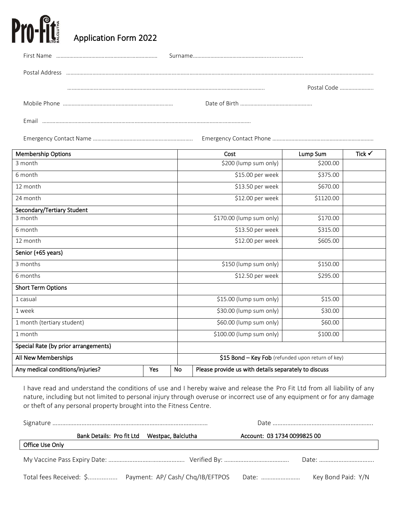# Pro-**Fit** Application Form 2022

| First Name     |             |
|----------------|-------------|
| Postal Address |             |
|                | Postal Code |
|                |             |
| Email          |             |

Emergency Contact Name ………………………………………………………….. Emergency Contact Phone ……………………………………………………………

| <b>Membership Options</b>            |     |    | Cost                                                 | Lump Sum  | Tick $\checkmark$ |
|--------------------------------------|-----|----|------------------------------------------------------|-----------|-------------------|
| 3 month                              |     |    | \$200 (lump sum only)                                | \$200.00  |                   |
| 6 month                              |     |    | \$15.00 per week                                     | \$375.00  |                   |
| 12 month                             |     |    | \$13.50 per week                                     | \$670.00  |                   |
| 24 month                             |     |    | \$12.00 per week                                     | \$1120.00 |                   |
| Secondary/Tertiary Student           |     |    |                                                      |           |                   |
| 3 month                              |     |    | \$170.00 (lump sum only)                             | \$170.00  |                   |
| 6 month                              |     |    | \$13.50 per week                                     | \$315.00  |                   |
| 12 month                             |     |    | \$12.00 per week                                     | \$605.00  |                   |
| Senior (+65 years)                   |     |    |                                                      |           |                   |
| 3 months                             |     |    | \$150 (lump sum only)                                | \$150.00  |                   |
| 6 months                             |     |    | \$12.50 per week                                     | \$295.00  |                   |
| <b>Short Term Options</b>            |     |    |                                                      |           |                   |
| 1 casual                             |     |    | \$15.00 (lump sum only)                              | \$15.00   |                   |
| 1 week                               |     |    | \$30.00 (lump sum only)                              | \$30.00   |                   |
| 1 month (tertiary student)           |     |    | \$60.00 (lump sum only)                              | \$60.00   |                   |
| 1 month                              |     |    | \$100.00 (lump sum only)                             | \$100.00  |                   |
| Special Rate (by prior arrangements) |     |    |                                                      |           |                   |
| All New Memberships                  |     |    | \$15 Bond - Key Fob (refunded upon return of key)    |           |                   |
| Any medical conditions/injuries?     | Yes | No | Please provide us with details separately to discuss |           |                   |

I have read and understand the conditions of use and I hereby waive and release the Pro Fit Ltd from all liability of any nature, including but not limited to personal injury through overuse or incorrect use of any equipment or for any damage or theft of any personal property brought into the Fitness Centre.

|                 | Bank Details: Pro fit Ltd |  | Westpac, Balclutha | Account: 03 1734 0099825 00 |                    |  |
|-----------------|---------------------------|--|--------------------|-----------------------------|--------------------|--|
| Office Use Only |                           |  |                    |                             |                    |  |
|                 |                           |  |                    |                             |                    |  |
|                 |                           |  |                    | Date:                       | Key Bond Paid: Y/N |  |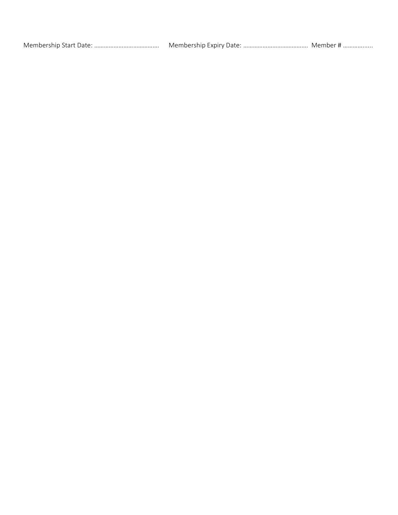| Membership Start Date: | Membership Expiry Date: | . iviember f |
|------------------------|-------------------------|--------------|
|                        |                         |              |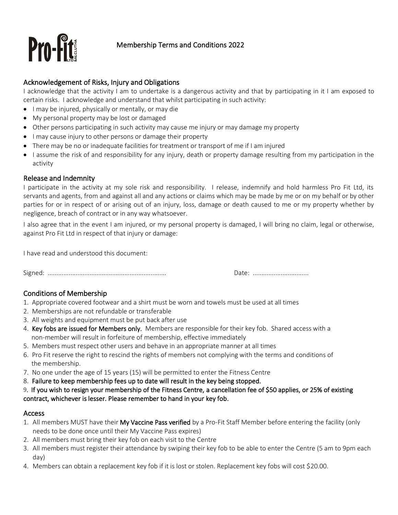

## Acknowledgement of Risks, Injury and Obligations

I acknowledge that the activity I am to undertake is a dangerous activity and that by participating in it I am exposed to certain risks. I acknowledge and understand that whilst participating in such activity:

- I may be injured, physically or mentally, or may die
- My personal property may be lost or damaged
- Other persons participating in such activity may cause me injury or may damage my property
- I may cause injury to other persons or damage their property
- There may be no or inadequate facilities for treatment or transport of me if I am injured
- I assume the risk of and responsibility for any injury, death or property damage resulting from my participation in the activity

### Release and Indemnity

I participate in the activity at my sole risk and responsibility. I release, indemnify and hold harmless Pro Fit Ltd, its servants and agents, from and against all and any actions or claims which may be made by me or on my behalf or by other parties for or in respect of or arising out of an injury, loss, damage or death caused to me or my property whether by negligence, breach of contract or in any way whatsoever.

I also agree that in the event I am injured, or my personal property is damaged, I will bring no claim, legal or otherwise, against Pro Fit Ltd in respect of that injury or damage:

I have read and understood this document:

Signed: .................................................................... Date: ................................

# Conditions of Membership

- 1. Appropriate covered footwear and a shirt must be worn and towels must be used at all times
- 2. Memberships are not refundable or transferable
- 3. All weights and equipment must be put back after use
- 4. Key fobs are issued for Members only. Members are responsible for their key fob. Shared access with a non-member will result in forfeiture of membership, effective immediately
- 5. Members must respect other users and behave in an appropriate manner at all times
- 6. Pro Fit reserve the right to rescind the rights of members not complying with the terms and conditions of the membership.
- 7. No one under the age of 15 years (15) will be permitted to enter the Fitness Centre
- 8. Failure to keep membership fees up to date will result in the key being stopped.

### 9. If you wish to resign your membership of the Fitness Centre, a cancellation fee of \$50 applies, or 25% of existing contract, whichever is lesser. Please remember to hand in your key fob.

## Access

- 1. All members MUST have their My Vaccine Pass verified by a Pro-Fit Staff Member before entering the facility (only needs to be done once until their My Vaccine Pass expires)
- 2. All members must bring their key fob on each visit to the Centre
- 3. All members must register their attendance by swiping their key fob to be able to enter the Centre (5 am to 9pm each day)
- 4. Members can obtain a replacement key fob if it is lost or stolen. Replacement key fobs will cost \$20.00.